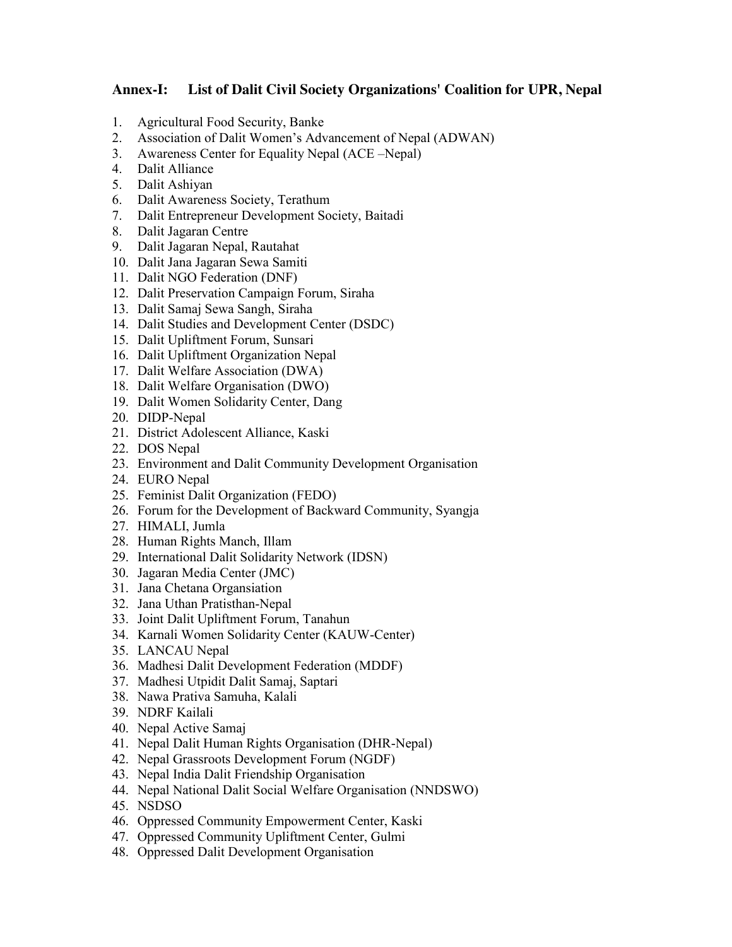## **Annex-I: List of Dalit Civil Society Organizations' Coalition for UPR, Nepal**

- 1. Agricultural Food Security, Banke
- 2. Association of Dalit Women's Advancement of Nepal (ADWAN)
- 3. Awareness Center for Equality Nepal (ACE –Nepal)
- 4. Dalit Alliance
- 5. Dalit Ashiyan
- 6. Dalit Awareness Society, Terathum
- 7. Dalit Entrepreneur Development Society, Baitadi
- 8. Dalit Jagaran Centre
- 9. Dalit Jagaran Nepal, Rautahat
- 10. Dalit Jana Jagaran Sewa Samiti
- 11. Dalit NGO Federation (DNF)
- 12. Dalit Preservation Campaign Forum, Siraha
- 13. Dalit Samaj Sewa Sangh, Siraha
- 14. Dalit Studies and Development Center (DSDC)
- 15. Dalit Upliftment Forum, Sunsari
- 16. Dalit Upliftment Organization Nepal
- 17. Dalit Welfare Association (DWA)
- 18. Dalit Welfare Organisation (DWO)
- 19. Dalit Women Solidarity Center, Dang
- 20. DIDP-Nepal
- 21. District Adolescent Alliance, Kaski
- 22. DOS Nepal
- 23. Environment and Dalit Community Development Organisation
- 24. EURO Nepal
- 25. Feminist Dalit Organization (FEDO)
- 26. Forum for the Development of Backward Community, Syangja
- 27. HIMALI, Jumla
- 28. Human Rights Manch, Illam
- 29. International Dalit Solidarity Network (IDSN)
- 30. Jagaran Media Center (JMC)
- 31. Jana Chetana Organsiation
- 32. Jana Uthan Pratisthan-Nepal
- 33. Joint Dalit Upliftment Forum, Tanahun
- 34. Karnali Women Solidarity Center (KAUW-Center)
- 35. LANCAU Nepal
- 36. Madhesi Dalit Development Federation (MDDF)
- 37. Madhesi Utpidit Dalit Samaj, Saptari
- 38. Nawa Prativa Samuha, Kalali
- 39. NDRF Kailali
- 40. Nepal Active Samaj
- 41. Nepal Dalit Human Rights Organisation (DHR-Nepal)
- 42. Nepal Grassroots Development Forum (NGDF)
- 43. Nepal India Dalit Friendship Organisation
- 44. Nepal National Dalit Social Welfare Organisation (NNDSWO)
- 45. NSDSO
- 46. Oppressed Community Empowerment Center, Kaski
- 47. Oppressed Community Upliftment Center, Gulmi
- 48. Oppressed Dalit Development Organisation